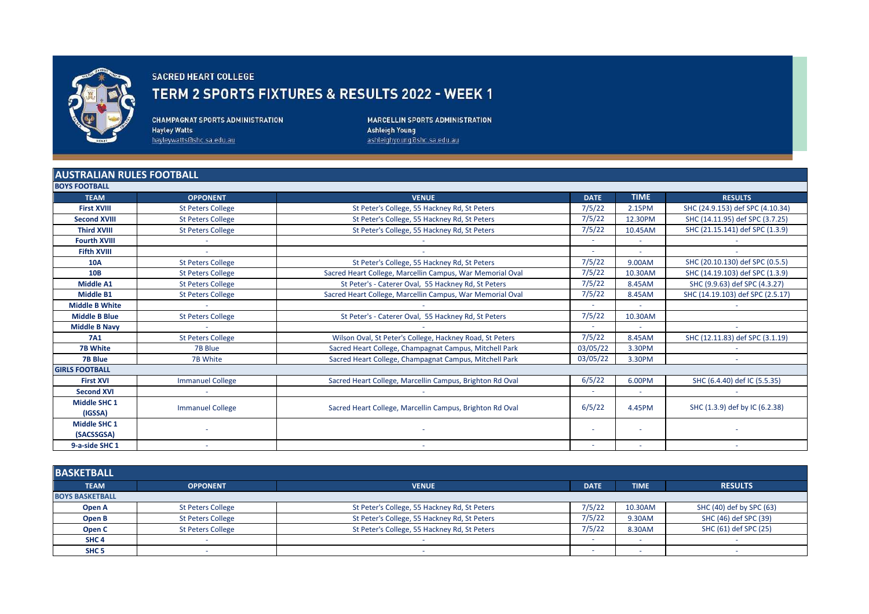

## SACRED HEART COLLEGE

## TERM 2 SPORTS FIXTURES & RESULTS 2022 - WEEK 1

**CHAMPAGNAT SPORTS ADMINISTRATION Hayley Watts** hayleywatts@shc.sa.edu.au

MARCELLIN SPORTS ADMINISTRATION Ashleigh Young<br>ashleighyoung@shc.sa.edu.au

## **AUSTRALIAN RULES FOOTBALL**

| <b>BOYS FOOTBALL</b>  |                          |                                                           |             |             |                                  |  |  |
|-----------------------|--------------------------|-----------------------------------------------------------|-------------|-------------|----------------------------------|--|--|
| <b>TEAM</b>           | <b>OPPONENT</b>          | <b>VENUE</b>                                              | <b>DATE</b> | <b>TIME</b> | <b>RESULTS</b>                   |  |  |
| <b>First XVIII</b>    | <b>St Peters College</b> | St Peter's College, 55 Hackney Rd, St Peters              | 7/5/22      | 2.15PM      | SHC (24.9.153) def SPC (4.10.34) |  |  |
| <b>Second XVIII</b>   | <b>St Peters College</b> | St Peter's College, 55 Hackney Rd, St Peters              | 7/5/22      | 12.30PM     | SHC (14.11.95) def SPC (3.7.25)  |  |  |
| <b>Third XVIII</b>    | <b>St Peters College</b> | St Peter's College, 55 Hackney Rd, St Peters              | 7/5/22      | 10.45AM     | SHC (21.15.141) def SPC (1.3.9)  |  |  |
| <b>Fourth XVIII</b>   | $\sim$                   |                                                           | $\sim$      | $\sim$      |                                  |  |  |
| <b>Fifth XVIII</b>    | $\sim$                   |                                                           | $\sim$      | $\sim$      |                                  |  |  |
| 10A                   | <b>St Peters College</b> | St Peter's College, 55 Hackney Rd, St Peters              | 7/5/22      | 9.00AM      | SHC (20.10.130) def SPC (0.5.5)  |  |  |
| <b>10B</b>            | <b>St Peters College</b> | Sacred Heart College, Marcellin Campus, War Memorial Oval | 7/5/22      | 10.30AM     | SHC (14.19.103) def SPC (1.3.9)  |  |  |
| <b>Middle A1</b>      | <b>St Peters College</b> | St Peter's - Caterer Oval, 55 Hackney Rd, St Peters       | 7/5/22      | 8.45AM      | SHC (9.9.63) def SPC (4.3.27)    |  |  |
| <b>Middle B1</b>      | <b>St Peters College</b> | Sacred Heart College, Marcellin Campus, War Memorial Oval | 7/5/22      | 8.45AM      | SHC (14.19.103) def SPC (2.5.17) |  |  |
| <b>Middle B White</b> | $\sim$                   |                                                           | $\sim$      | $\sim$      |                                  |  |  |
| <b>Middle B Blue</b>  | <b>St Peters College</b> | St Peter's - Caterer Oval, 55 Hackney Rd, St Peters       | 7/5/22      | 10.30AM     |                                  |  |  |
| <b>Middle B Navy</b>  |                          |                                                           | $\sim$      | $\sim$      |                                  |  |  |
| <b>7A1</b>            | <b>St Peters College</b> | Wilson Oval, St Peter's College, Hackney Road, St Peters  | 7/5/22      | 8.45AM      | SHC (12.11.83) def SPC (3.1.19)  |  |  |
| <b>7B White</b>       | 7B Blue                  | Sacred Heart College, Champagnat Campus, Mitchell Park    | 03/05/22    | 3.30PM      |                                  |  |  |
| <b>7B Blue</b>        | 7B White                 | Sacred Heart College, Champagnat Campus, Mitchell Park    | 03/05/22    | 3.30PM      |                                  |  |  |
| <b>GIRLS FOOTBALL</b> |                          |                                                           |             |             |                                  |  |  |
| <b>First XVI</b>      | <b>Immanuel College</b>  | Sacred Heart College, Marcellin Campus, Brighton Rd Oval  | 6/5/22      | 6.00PM      | SHC (6.4.40) def IC (5.5.35)     |  |  |
| <b>Second XVI</b>     |                          |                                                           | $\sim$      | $\sim$      |                                  |  |  |
| <b>Middle SHC 1</b>   | <b>Immanuel College</b>  |                                                           | 6/5/22      | 4.45PM      | SHC (1.3.9) def by IC (6.2.38)   |  |  |
| (IGSSA)               |                          | Sacred Heart College, Marcellin Campus, Brighton Rd Oval  |             |             |                                  |  |  |
| <b>Middle SHC 1</b>   |                          |                                                           | $\sim$      | ٠           |                                  |  |  |
| (SACSSGSA)            |                          |                                                           |             |             |                                  |  |  |
| 9-a-side SHC 1        |                          |                                                           | $\sim$      | $\sim$      |                                  |  |  |

| <b>BASKETBALL</b>      |                          |                                              |                          |             |                          |  |
|------------------------|--------------------------|----------------------------------------------|--------------------------|-------------|--------------------------|--|
| <b>TEAM</b>            | <b>OPPONENT</b>          | <b>VENUE</b>                                 | <b>DATE</b>              | <b>TIME</b> | <b>RESULTS</b>           |  |
| <b>BOYS BASKETBALL</b> |                          |                                              |                          |             |                          |  |
| Open A                 | <b>St Peters College</b> | St Peter's College, 55 Hackney Rd, St Peters | 7/5/22                   | 10.30AM     | SHC (40) def by SPC (63) |  |
| Open B                 | <b>St Peters College</b> | St Peter's College, 55 Hackney Rd, St Peters | 7/5/22                   | 9.30AM      | SHC (46) def SPC (39)    |  |
| Open C                 | <b>St Peters College</b> | St Peter's College, 55 Hackney Rd, St Peters | 7/5/22                   | 8.30AM      | SHC (61) def SPC (25)    |  |
| SHC <sub>4</sub>       |                          |                                              | -                        |             |                          |  |
| SHC <sub>5</sub>       |                          |                                              | $\overline{\phantom{a}}$ |             |                          |  |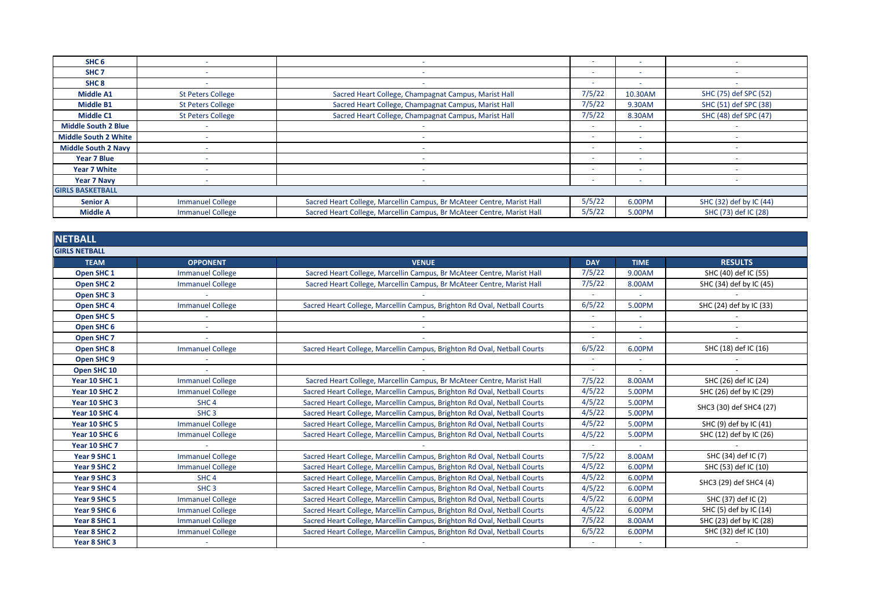| SHC <sub>6</sub>            |                          |                                                                        | $\overline{\phantom{a}}$ | -                        |                         |
|-----------------------------|--------------------------|------------------------------------------------------------------------|--------------------------|--------------------------|-------------------------|
| SHC <sub>7</sub>            |                          |                                                                        | $\sim$                   | ۰                        |                         |
| SHC <sub>8</sub>            |                          |                                                                        | $\overline{\phantom{a}}$ | $\sim$                   |                         |
| Middle A1                   | <b>St Peters College</b> | Sacred Heart College, Champagnat Campus, Marist Hall                   | 7/5/22                   | 10.30AM                  | SHC (75) def SPC (52)   |
| Middle B1                   | <b>St Peters College</b> | Sacred Heart College, Champagnat Campus, Marist Hall                   | 7/5/22                   | 9.30AM                   | SHC (51) def SPC (38)   |
| Middle C1                   | <b>St Peters College</b> | Sacred Heart College, Champagnat Campus, Marist Hall                   | 7/5/22                   | 8.30AM                   | SHC (48) def SPC (47)   |
| <b>Middle South 2 Blue</b>  |                          |                                                                        | $\sim$                   | $\sim$                   |                         |
| <b>Middle South 2 White</b> |                          |                                                                        | $\sim$                   | $\sim$                   |                         |
| <b>Middle South 2 Navy</b>  |                          |                                                                        | $\overline{\phantom{0}}$ | <b>.</b>                 |                         |
| Year 7 Blue                 |                          |                                                                        | $\overline{\phantom{a}}$ | -                        |                         |
| Year 7 White                |                          |                                                                        | $\sim$                   |                          |                         |
| Year 7 Navy                 |                          |                                                                        | $\sim$                   | $\overline{\phantom{a}}$ |                         |
| <b>GIRLS BASKETBALL</b>     |                          |                                                                        |                          |                          |                         |
| <b>Senior A</b>             | <b>Immanuel College</b>  | Sacred Heart College, Marcellin Campus, Br McAteer Centre, Marist Hall | 5/5/22                   | 6.00PM                   | SHC (32) def by IC (44) |
| <b>Middle A</b>             | <b>Immanuel College</b>  | Sacred Heart College, Marcellin Campus, Br McAteer Centre, Marist Hall | 5/5/22                   | 5.00PM                   | SHC (73) def IC (28)    |

| <b>NETBALL</b>        |                         |                                                                          |            |             |                         |
|-----------------------|-------------------------|--------------------------------------------------------------------------|------------|-------------|-------------------------|
| <b>GIRLS NETBALL</b>  |                         |                                                                          |            |             |                         |
| <b>TEAM</b>           | <b>OPPONENT</b>         | <b>VENUE</b>                                                             | <b>DAY</b> | <b>TIME</b> | <b>RESULTS</b>          |
| Open SHC <sub>1</sub> | <b>Immanuel College</b> | Sacred Heart College, Marcellin Campus, Br McAteer Centre, Marist Hall   | 7/5/22     | 9.00AM      | SHC (40) def IC (55)    |
| <b>Open SHC 2</b>     | <b>Immanuel College</b> | Sacred Heart College, Marcellin Campus, Br McAteer Centre, Marist Hall   | 7/5/22     | 8.00AM      | SHC (34) def by IC (45) |
| <b>Open SHC 3</b>     |                         |                                                                          |            |             |                         |
| Open SHC 4            | <b>Immanuel College</b> | Sacred Heart College, Marcellin Campus, Brighton Rd Oval, Netball Courts | 6/5/22     | 5.00PM      | SHC (24) def by IC (33) |
| Open SHC 5            |                         |                                                                          |            |             |                         |
| Open SHC 6            |                         |                                                                          |            |             |                         |
| Open SHC <sub>7</sub> |                         |                                                                          |            |             |                         |
| Open SHC 8            | <b>Immanuel College</b> | Sacred Heart College, Marcellin Campus, Brighton Rd Oval, Netball Courts | 6/5/22     | 6.00PM      | SHC (18) def IC (16)    |
| Open SHC 9            |                         |                                                                          |            | ٠           |                         |
| Open SHC 10           |                         |                                                                          |            |             |                         |
| Year 10 SHC 1         | <b>Immanuel College</b> | Sacred Heart College, Marcellin Campus, Br McAteer Centre, Marist Hall   | 7/5/22     | 8.00AM      | SHC (26) def IC (24)    |
| Year 10 SHC 2         | <b>Immanuel College</b> | Sacred Heart College, Marcellin Campus, Brighton Rd Oval, Netball Courts | 4/5/22     | 5.00PM      | SHC (26) def by IC (29) |
| Year 10 SHC 3         | SHC <sub>4</sub>        | Sacred Heart College, Marcellin Campus, Brighton Rd Oval, Netball Courts | 4/5/22     | 5.00PM      | SHC3 (30) def SHC4 (27) |
| Year 10 SHC 4         | SHC <sub>3</sub>        | Sacred Heart College, Marcellin Campus, Brighton Rd Oval, Netball Courts | 4/5/22     | 5.00PM      |                         |
| Year 10 SHC 5         | <b>Immanuel College</b> | Sacred Heart College, Marcellin Campus, Brighton Rd Oval, Netball Courts | 4/5/22     | 5.00PM      | SHC (9) def by IC (41)  |
| Year 10 SHC 6         | <b>Immanuel College</b> | Sacred Heart College, Marcellin Campus, Brighton Rd Oval, Netball Courts | 4/5/22     | 5.00PM      | SHC (12) def by IC (26) |
| Year 10 SHC 7         |                         |                                                                          | $\sim$     |             |                         |
| Year 9 SHC 1          | <b>Immanuel College</b> | Sacred Heart College, Marcellin Campus, Brighton Rd Oval, Netball Courts | 7/5/22     | 8.00AM      | SHC (34) def IC (7)     |
| Year 9 SHC 2          | <b>Immanuel College</b> | Sacred Heart College, Marcellin Campus, Brighton Rd Oval, Netball Courts | 4/5/22     | 6.00PM      | SHC (53) def IC (10)    |
| Year 9 SHC 3          | SHC <sub>4</sub>        | Sacred Heart College, Marcellin Campus, Brighton Rd Oval, Netball Courts | 4/5/22     | 6.00PM      | SHC3 (29) def SHC4 (4)  |
| Year 9 SHC 4          | SHC <sub>3</sub>        | Sacred Heart College, Marcellin Campus, Brighton Rd Oval, Netball Courts | 4/5/22     | 6.00PM      |                         |
| Year 9 SHC 5          | <b>Immanuel College</b> | Sacred Heart College, Marcellin Campus, Brighton Rd Oval, Netball Courts | 4/5/22     | 6.00PM      | SHC (37) def IC (2)     |
| Year 9 SHC 6          | <b>Immanuel College</b> | Sacred Heart College, Marcellin Campus, Brighton Rd Oval, Netball Courts | 4/5/22     | 6.00PM      | SHC (5) def by IC (14)  |
| Year 8 SHC 1          | <b>Immanuel College</b> | Sacred Heart College, Marcellin Campus, Brighton Rd Oval, Netball Courts | 7/5/22     | 8.00AM      | SHC (23) def by IC (28) |
| Year 8 SHC 2          | <b>Immanuel College</b> | Sacred Heart College, Marcellin Campus, Brighton Rd Oval, Netball Courts | 6/5/22     | 6.00PM      | SHC (32) def IC (10)    |
| Year 8 SHC 3          | $\sim$                  |                                                                          |            | ٠           |                         |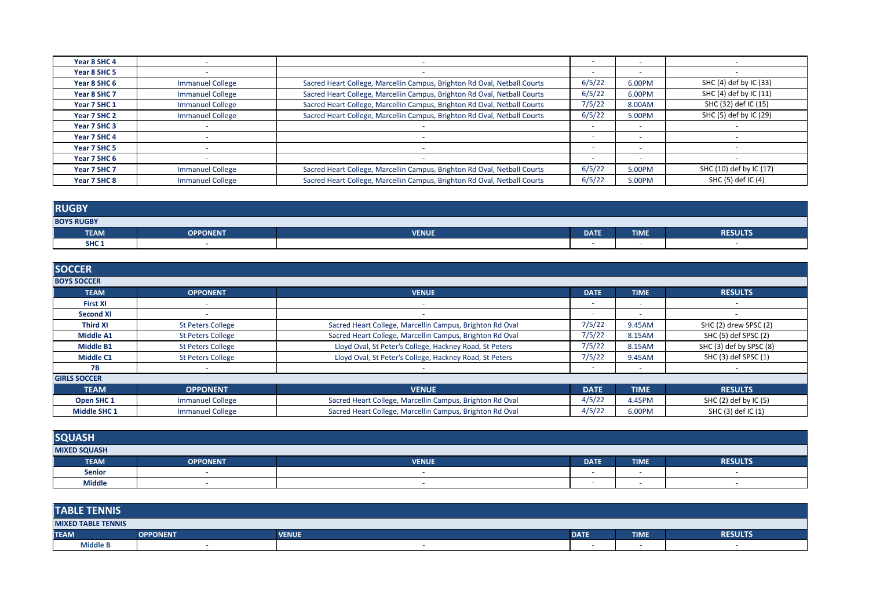| Year 8 SHC 4 |                         |                                                                          |        | $\sim$                   |                         |
|--------------|-------------------------|--------------------------------------------------------------------------|--------|--------------------------|-------------------------|
| Year 8 SHC 5 |                         |                                                                          |        | $\sim$                   |                         |
| Year 8 SHC 6 | <b>Immanuel College</b> | Sacred Heart College, Marcellin Campus, Brighton Rd Oval, Netball Courts | 6/5/22 | 6.00PM                   | SHC (4) def by IC (33)  |
| Year 8 SHC 7 | <b>Immanuel College</b> | Sacred Heart College, Marcellin Campus, Brighton Rd Oval, Netball Courts | 6/5/22 | 6.00PM                   | SHC (4) def by IC (11)  |
| Year 7 SHC 1 | <b>Immanuel College</b> | Sacred Heart College, Marcellin Campus, Brighton Rd Oval, Netball Courts | 7/5/22 | 8.00AM                   | SHC (32) def IC (15)    |
| Year 7 SHC 2 | <b>Immanuel College</b> | Sacred Heart College, Marcellin Campus, Brighton Rd Oval, Netball Courts | 6/5/22 | 5.00PM                   | SHC (5) def by IC (29)  |
| Year 7 SHC 3 |                         |                                                                          |        |                          |                         |
| Year 7 SHC 4 |                         |                                                                          |        |                          |                         |
| Year 7 SHC 5 |                         |                                                                          |        |                          |                         |
| Year 7 SHC 6 |                         |                                                                          |        | $\overline{\phantom{a}}$ |                         |
| Year 7 SHC 7 | <b>Immanuel College</b> | Sacred Heart College, Marcellin Campus, Brighton Rd Oval, Netball Courts | 6/5/22 | 5.00PM                   | SHC (10) def by IC (17) |
| Year 7 SHC 8 | <b>Immanuel College</b> | Sacred Heart College, Marcellin Campus, Brighton Rd Oval, Netball Courts | 6/5/22 | 5.00PM                   | SHC (5) def IC (4)      |

| <b>RUGBY</b>      |                 |              |             |             |                |  |
|-------------------|-----------------|--------------|-------------|-------------|----------------|--|
| <b>BOYS RUGBY</b> |                 |              |             |             |                |  |
| <b>TEAM</b>       | <b>OPPONENT</b> | <b>VENUE</b> | <b>DATE</b> | <b>TIME</b> | <b>RESULTS</b> |  |
| SHC <sub>1</sub>  |                 |              |             | -           |                |  |

| <b>SOCCER</b>       |                          |                                                          |                          |             |                           |
|---------------------|--------------------------|----------------------------------------------------------|--------------------------|-------------|---------------------------|
| <b>BOYS SOCCER</b>  |                          |                                                          |                          |             |                           |
| <b>TEAM</b>         | <b>OPPONENT</b>          | <b>VENUE</b>                                             | <b>DATE</b>              | <b>TIME</b> | <b>RESULTS</b>            |
| <b>First XI</b>     |                          |                                                          | $\overline{\phantom{a}}$ | $\sim$      |                           |
| <b>Second XI</b>    |                          |                                                          | ۰                        | $\sim$      |                           |
| <b>Third XI</b>     | <b>St Peters College</b> | Sacred Heart College, Marcellin Campus, Brighton Rd Oval | 7/5/22                   | 9.45AM      | SHC (2) drew SPSC (2)     |
| <b>Middle A1</b>    | <b>St Peters College</b> | Sacred Heart College, Marcellin Campus, Brighton Rd Oval | 7/5/22                   | 8.15AM      | SHC (5) def SPSC (2)      |
| <b>Middle B1</b>    | <b>St Peters College</b> | Lloyd Oval, St Peter's College, Hackney Road, St Peters  | 7/5/22                   | 8.15AM      | SHC (3) def by SPSC (8)   |
| Middle C1           | <b>St Peters College</b> | Lloyd Oval, St Peter's College, Hackney Road, St Peters  | 7/5/22                   | 9.45AM      | SHC (3) def SPSC (1)      |
| <b>7B</b>           |                          |                                                          | ۰                        |             |                           |
| <b>GIRLS SOCCER</b> |                          |                                                          |                          |             |                           |
| <b>TEAM</b>         | <b>OPPONENT</b>          | <b>VENUE</b>                                             | <b>DATE</b>              | <b>TIME</b> | <b>RESULTS</b>            |
| Open SHC 1          | <b>Immanuel College</b>  | Sacred Heart College, Marcellin Campus, Brighton Rd Oval | 4/5/22                   | 4.45PM      | SHC $(2)$ def by IC $(5)$ |
| <b>Middle SHC 1</b> | <b>Immanuel College</b>  | Sacred Heart College, Marcellin Campus, Brighton Rd Oval | 4/5/22                   | 6.00PM      | SHC (3) def IC (1)        |

| <b>SQUASH</b>       |                 |              |             |                          |                |  |
|---------------------|-----------------|--------------|-------------|--------------------------|----------------|--|
| <b>MIXED SQUASH</b> |                 |              |             |                          |                |  |
| <b>TEAM</b>         | <b>OPPONENT</b> | <b>VENUE</b> | <b>DATE</b> | <b>TIME</b>              | <b>RESULTS</b> |  |
| <b>Senior</b>       |                 |              |             | $\overline{\phantom{a}}$ | -              |  |
| <b>Middle</b>       |                 |              |             | $\overline{\phantom{a}}$ |                |  |

| <b>TABLE TENNIS</b>       |                 |              |             |             |                |  |
|---------------------------|-----------------|--------------|-------------|-------------|----------------|--|
| <b>MIXED TABLE TENNIS</b> |                 |              |             |             |                |  |
| <b>TEAM</b>               | <b>OPPONENT</b> | <b>VENUE</b> | <b>DATE</b> | <b>TIME</b> | <b>RESULTS</b> |  |
| <b>Middle B</b>           |                 |              |             |             |                |  |